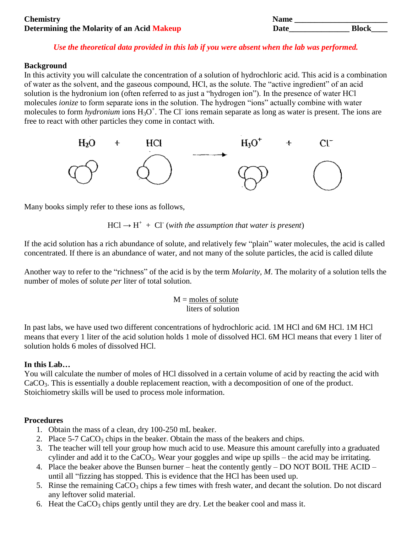| <b>Chemistry</b>                                  | Name |              |
|---------------------------------------------------|------|--------------|
| <b>Determining the Molarity of an Acid Makeup</b> | Date | <b>Block</b> |

## *Use the theoretical data provided in this lab if you were absent when the lab was performed.*

#### **Background**

In this activity you will calculate the concentration of a solution of hydrochloric acid. This acid is a combination of water as the solvent, and the gaseous compound, HCl, as the solute. The "active ingredient" of an acid solution is the hydronium ion (often referred to as just a "hydrogen ion"). In the presence of water HCl molecules *ionize* to form separate ions in the solution. The hydrogen "ions" actually combine with water molecules to form *hydronium* ions H<sub>3</sub>O<sup>+</sup>. The Cl<sup>-</sup> ions remain separate as long as water is present. The ions are free to react with other particles they come in contact with.



Many books simply refer to these ions as follows,

 $HCl \rightarrow H^+ + Cl^-$  (with the assumption that water is present)

If the acid solution has a rich abundance of solute, and relatively few "plain" water molecules, the acid is called concentrated. If there is an abundance of water, and not many of the solute particles, the acid is called dilute

Another way to refer to the "richness" of the acid is by the term *Molarity, M*. The molarity of a solution tells the number of moles of solute *per* liter of total solution.

> $M$  = moles of solute liters of solution

In past labs, we have used two different concentrations of hydrochloric acid. 1M HCl and 6M HCl. 1M HCl means that every 1 liter of the acid solution holds 1 mole of dissolved HCl. 6M HCl means that every 1 liter of solution holds 6 moles of dissolved HCl.

### **In this Lab…**

You will calculate the number of moles of HCl dissolved in a certain volume of acid by reacting the acid with CaCO3. This is essentially a double replacement reaction, with a decomposition of one of the product. Stoichiometry skills will be used to process mole information.

### **Procedures**

- 1. Obtain the mass of a clean, dry 100-250 mL beaker.
- 2. Place  $5-7$  CaCO<sub>3</sub> chips in the beaker. Obtain the mass of the beakers and chips.
- 3. The teacher will tell your group how much acid to use. Measure this amount carefully into a graduated cylinder and add it to the  $CaCO<sub>3</sub>$ . Wear your goggles and wipe up spills – the acid may be irritating.
- 4. Place the beaker above the Bunsen burner heat the contently gently DO NOT BOIL THE ACID until all "fizzing has stopped. This is evidence that the HCl has been used up.
- 5. Rinse the remaining  $CaCO<sub>3</sub>$  chips a few times with fresh water, and decant the solution. Do not discard any leftover solid material.
- 6. Heat the  $CaCO<sub>3</sub>$  chips gently until they are dry. Let the beaker cool and mass it.